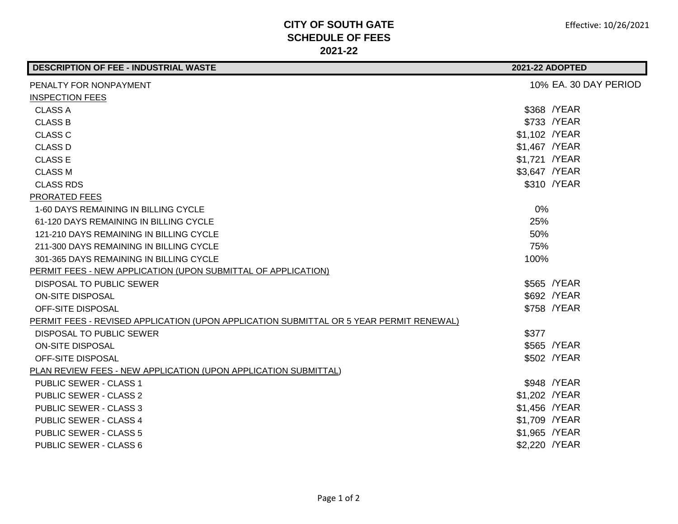## **CITY OF SOUTH GATE SCHEDULE OF FEES 2021-22**

| <b>DESCRIPTION OF FEE - INDUSTRIAL WASTE</b>                                            | 2021-22 ADOPTED       |  |
|-----------------------------------------------------------------------------------------|-----------------------|--|
| PENALTY FOR NONPAYMENT                                                                  | 10% EA. 30 DAY PERIOD |  |
| <b>INSPECTION FEES</b>                                                                  |                       |  |
| <b>CLASS A</b>                                                                          | \$368 / YEAR          |  |
| <b>CLASS B</b>                                                                          | \$733 /YEAR           |  |
| <b>CLASS C</b>                                                                          | \$1,102 / YEAR        |  |
| <b>CLASS D</b>                                                                          | \$1,467 / YEAR        |  |
| <b>CLASS E</b>                                                                          | \$1,721 / YEAR        |  |
| <b>CLASS M</b>                                                                          | \$3,647 / YEAR        |  |
| <b>CLASS RDS</b>                                                                        | \$310 /YEAR           |  |
| PRORATED FEES                                                                           |                       |  |
| 1-60 DAYS REMAINING IN BILLING CYCLE                                                    | 0%                    |  |
| 61-120 DAYS REMAINING IN BILLING CYCLE                                                  | 25%                   |  |
| 121-210 DAYS REMAINING IN BILLING CYCLE                                                 | 50%                   |  |
| 211-300 DAYS REMAINING IN BILLING CYCLE                                                 | 75%                   |  |
| 301-365 DAYS REMAINING IN BILLING CYCLE                                                 | 100%                  |  |
| PERMIT FEES - NEW APPLICATION (UPON SUBMITTAL OF APPLICATION)                           |                       |  |
| DISPOSAL TO PUBLIC SEWER                                                                | \$565 /YEAR           |  |
| <b>ON-SITE DISPOSAL</b>                                                                 | \$692 /YEAR           |  |
| OFF-SITE DISPOSAL                                                                       | \$758 /YEAR           |  |
| PERMIT FEES - REVISED APPLICATION (UPON APPLICATION SUBMITTAL OR 5 YEAR PERMIT RENEWAL) |                       |  |
| DISPOSAL TO PUBLIC SEWER                                                                | \$377                 |  |
| <b>ON-SITE DISPOSAL</b>                                                                 | \$565 /YEAR           |  |
| OFF-SITE DISPOSAL                                                                       | \$502 /YEAR           |  |
| PLAN REVIEW FEES - NEW APPLICATION (UPON APPLICATION SUBMITTAL)                         |                       |  |
| <b>PUBLIC SEWER - CLASS 1</b>                                                           | \$948 / YEAR          |  |
| <b>PUBLIC SEWER - CLASS 2</b>                                                           | \$1,202 / YEAR        |  |
| <b>PUBLIC SEWER - CLASS 3</b>                                                           | \$1,456 / YEAR        |  |
| <b>PUBLIC SEWER - CLASS 4</b>                                                           | \$1,709 / YEAR        |  |
| <b>PUBLIC SEWER - CLASS 5</b>                                                           | \$1,965 / YEAR        |  |
| <b>PUBLIC SEWER - CLASS 6</b>                                                           | \$2,220 / YEAR        |  |